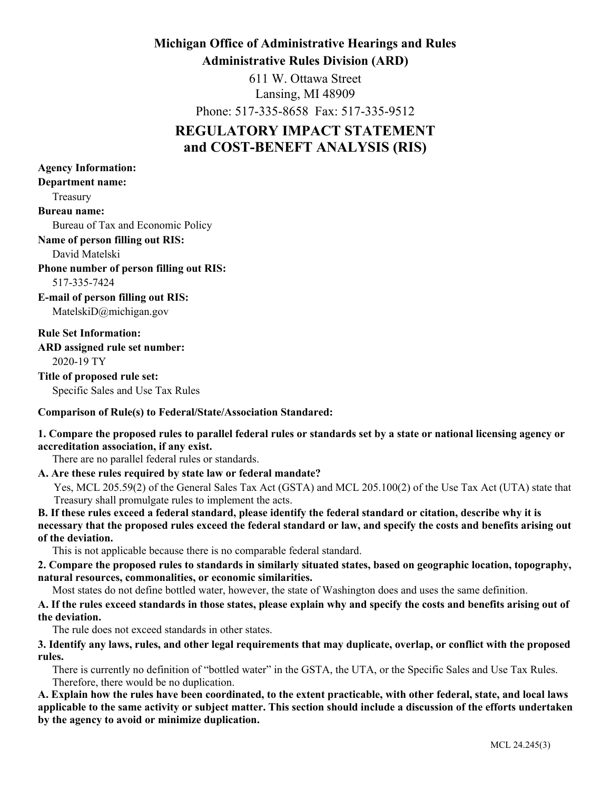# **Michigan Office of Administrative Hearings and Rules**

**Administrative Rules Division (ARD)**

611 W. Ottawa Street Lansing, MI 48909

Phone: 517-335-8658 Fax: 517-335-9512

# **REGULATORY IMPACT STATEMENT and COST-BENEFT ANALYSIS (RIS)**

| <b>Agency Information:</b>                                                                                                                                                                                                                                                                                                         |
|------------------------------------------------------------------------------------------------------------------------------------------------------------------------------------------------------------------------------------------------------------------------------------------------------------------------------------|
| <b>Department name:</b>                                                                                                                                                                                                                                                                                                            |
| Treasury                                                                                                                                                                                                                                                                                                                           |
| <b>Bureau name:</b>                                                                                                                                                                                                                                                                                                                |
| Bureau of Tax and Economic Policy                                                                                                                                                                                                                                                                                                  |
| Name of person filling out RIS:                                                                                                                                                                                                                                                                                                    |
| David Matelski                                                                                                                                                                                                                                                                                                                     |
| Phone number of person filling out RIS:                                                                                                                                                                                                                                                                                            |
| 517-335-7424                                                                                                                                                                                                                                                                                                                       |
| <b>E-mail of person filling out RIS:</b>                                                                                                                                                                                                                                                                                           |
| Matelski $D(\hat{\omega})$ michigan.gov                                                                                                                                                                                                                                                                                            |
| <b>Rule Set Information:</b>                                                                                                                                                                                                                                                                                                       |
| <b>ARD</b> assigned rule set number:                                                                                                                                                                                                                                                                                               |
| 2020-19 TY                                                                                                                                                                                                                                                                                                                         |
| Title of proposed rule set:                                                                                                                                                                                                                                                                                                        |
| Specific Sales and Use Tax Rules                                                                                                                                                                                                                                                                                                   |
| $\mathbf{r}$ $\mathbf{r}$ $\mathbf{r}$ $\mathbf{r}$ $\mathbf{r}$ $\mathbf{r}$ $\mathbf{r}$ $\mathbf{r}$ $\mathbf{r}$ $\mathbf{r}$ $\mathbf{r}$ $\mathbf{r}$ $\mathbf{r}$ $\mathbf{r}$ $\mathbf{r}$ $\mathbf{r}$ $\mathbf{r}$ $\mathbf{r}$ $\mathbf{r}$ $\mathbf{r}$ $\mathbf{r}$ $\mathbf{r}$ $\mathbf{r}$ $\mathbf{r}$ $\mathbf{$ |

# **Comparison of Rule(s) to Federal/State/Association Standared:**

# **1. Compare the proposed rules to parallel federal rules or standards set by a state or national licensing agency or accreditation association, if any exist.**

There are no parallel federal rules or standards.

**A. Are these rules required by state law or federal mandate?**

Yes, MCL 205.59(2) of the General Sales Tax Act (GSTA) and MCL 205.100(2) of the Use Tax Act (UTA) state that Treasury shall promulgate rules to implement the acts.

**B. If these rules exceed a federal standard, please identify the federal standard or citation, describe why it is necessary that the proposed rules exceed the federal standard or law, and specify the costs and benefits arising out of the deviation.**

This is not applicable because there is no comparable federal standard.

**2. Compare the proposed rules to standards in similarly situated states, based on geographic location, topography, natural resources, commonalities, or economic similarities.**

Most states do not define bottled water, however, the state of Washington does and uses the same definition.

**A. If the rules exceed standards in those states, please explain why and specify the costs and benefits arising out of the deviation.**

The rule does not exceed standards in other states.

**3. Identify any laws, rules, and other legal requirements that may duplicate, overlap, or conflict with the proposed rules.**

There is currently no definition of "bottled water" in the GSTA, the UTA, or the Specific Sales and Use Tax Rules. Therefore, there would be no duplication.

**A. Explain how the rules have been coordinated, to the extent practicable, with other federal, state, and local laws applicable to the same activity or subject matter. This section should include a discussion of the efforts undertaken by the agency to avoid or minimize duplication.**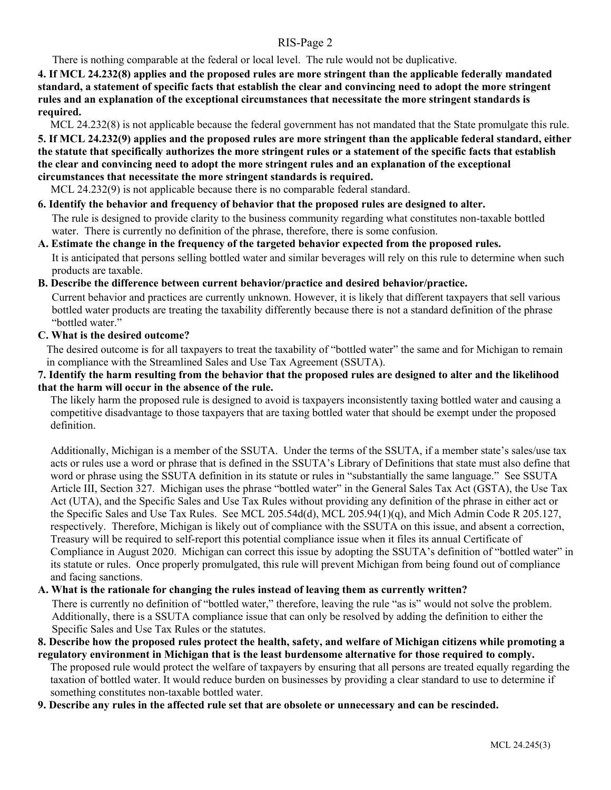There is nothing comparable at the federal or local level. The rule would not be duplicative.

**4. If MCL 24.232(8) applies and the proposed rules are more stringent than the applicable federally mandated standard, a statement of specific facts that establish the clear and convincing need to adopt the more stringent rules and an explanation of the exceptional circumstances that necessitate the more stringent standards is required.**

MCL 24.232(8) is not applicable because the federal government has not mandated that the State promulgate this rule.

**5. If MCL 24.232(9) applies and the proposed rules are more stringent than the applicable federal standard, either the statute that specifically authorizes the more stringent rules or a statement of the specific facts that establish the clear and convincing need to adopt the more stringent rules and an explanation of the exceptional circumstances that necessitate the more stringent standards is required.**

MCL 24.232(9) is not applicable because there is no comparable federal standard.

#### **6. Identify the behavior and frequency of behavior that the proposed rules are designed to alter.**

The rule is designed to provide clarity to the business community regarding what constitutes non-taxable bottled water. There is currently no definition of the phrase, therefore, there is some confusion.

# **A. Estimate the change in the frequency of the targeted behavior expected from the proposed rules.**

It is anticipated that persons selling bottled water and similar beverages will rely on this rule to determine when such products are taxable.

# **B. Describe the difference between current behavior/practice and desired behavior/practice.**

Current behavior and practices are currently unknown. However, it is likely that different taxpayers that sell various bottled water products are treating the taxability differently because there is not a standard definition of the phrase "bottled water."

#### **C. What is the desired outcome?**

The desired outcome is for all taxpayers to treat the taxability of "bottled water" the same and for Michigan to remain in compliance with the Streamlined Sales and Use Tax Agreement (SSUTA).

#### **7. Identify the harm resulting from the behavior that the proposed rules are designed to alter and the likelihood that the harm will occur in the absence of the rule.**

The likely harm the proposed rule is designed to avoid is taxpayers inconsistently taxing bottled water and causing a competitive disadvantage to those taxpayers that are taxing bottled water that should be exempt under the proposed definition.

Additionally, Michigan is a member of the SSUTA. Under the terms of the SSUTA, if a member state's sales/use tax acts or rules use a word or phrase that is defined in the SSUTA's Library of Definitions that state must also define that word or phrase using the SSUTA definition in its statute or rules in "substantially the same language." See SSUTA Article III, Section 327. Michigan uses the phrase "bottled water" in the General Sales Tax Act (GSTA), the Use Tax Act (UTA), and the Specific Sales and Use Tax Rules without providing any definition of the phrase in either act or the Specific Sales and Use Tax Rules. See MCL 205.54d(d), MCL 205.94(1)(q), and Mich Admin Code R 205.127, respectively. Therefore, Michigan is likely out of compliance with the SSUTA on this issue, and absent a correction, Treasury will be required to self-report this potential compliance issue when it files its annual Certificate of Compliance in August 2020. Michigan can correct this issue by adopting the SSUTA's definition of "bottled water" in its statute or rules. Once properly promulgated, this rule will prevent Michigan from being found out of compliance and facing sanctions.

# **A. What is the rationale for changing the rules instead of leaving them as currently written?**

There is currently no definition of "bottled water," therefore, leaving the rule "as is" would not solve the problem. Additionally, there is a SSUTA compliance issue that can only be resolved by adding the definition to either the Specific Sales and Use Tax Rules or the statutes.

#### **8. Describe how the proposed rules protect the health, safety, and welfare of Michigan citizens while promoting a regulatory environment in Michigan that is the least burdensome alternative for those required to comply.**

The proposed rule would protect the welfare of taxpayers by ensuring that all persons are treated equally regarding the taxation of bottled water. It would reduce burden on businesses by providing a clear standard to use to determine if something constitutes non-taxable bottled water.

## **9. Describe any rules in the affected rule set that are obsolete or unnecessary and can be rescinded.**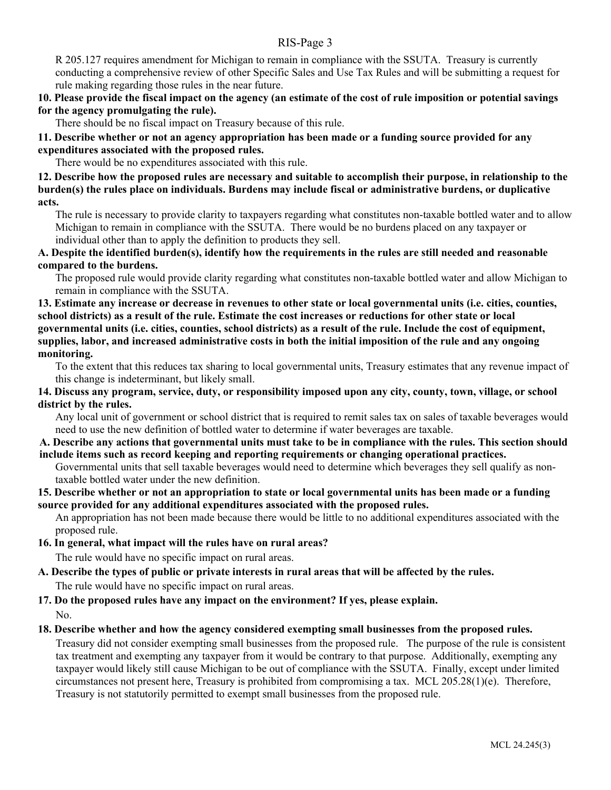R 205.127 requires amendment for Michigan to remain in compliance with the SSUTA. Treasury is currently conducting a comprehensive review of other Specific Sales and Use Tax Rules and will be submitting a request for rule making regarding those rules in the near future.

**10. Please provide the fiscal impact on the agency (an estimate of the cost of rule imposition or potential savings for the agency promulgating the rule).**

There should be no fiscal impact on Treasury because of this rule.

**11. Describe whether or not an agency appropriation has been made or a funding source provided for any expenditures associated with the proposed rules.**

There would be no expenditures associated with this rule.

**12. Describe how the proposed rules are necessary and suitable to accomplish their purpose, in relationship to the burden(s) the rules place on individuals. Burdens may include fiscal or administrative burdens, or duplicative acts.**

The rule is necessary to provide clarity to taxpayers regarding what constitutes non-taxable bottled water and to allow Michigan to remain in compliance with the SSUTA. There would be no burdens placed on any taxpayer or individual other than to apply the definition to products they sell.

**A. Despite the identified burden(s), identify how the requirements in the rules are still needed and reasonable compared to the burdens.**

The proposed rule would provide clarity regarding what constitutes non-taxable bottled water and allow Michigan to remain in compliance with the SSUTA.

**13. Estimate any increase or decrease in revenues to other state or local governmental units (i.e. cities, counties, school districts) as a result of the rule. Estimate the cost increases or reductions for other state or local governmental units (i.e. cities, counties, school districts) as a result of the rule. Include the cost of equipment, supplies, labor, and increased administrative costs in both the initial imposition of the rule and any ongoing monitoring.**

To the extent that this reduces tax sharing to local governmental units, Treasury estimates that any revenue impact of this change is indeterminant, but likely small.

**14. Discuss any program, service, duty, or responsibility imposed upon any city, county, town, village, or school district by the rules.**

Any local unit of government or school district that is required to remit sales tax on sales of taxable beverages would need to use the new definition of bottled water to determine if water beverages are taxable.

# **A. Describe any actions that governmental units must take to be in compliance with the rules. This section should include items such as record keeping and reporting requirements or changing operational practices.**

Governmental units that sell taxable beverages would need to determine which beverages they sell qualify as nontaxable bottled water under the new definition.

#### **15. Describe whether or not an appropriation to state or local governmental units has been made or a funding source provided for any additional expenditures associated with the proposed rules.**

An appropriation has not been made because there would be little to no additional expenditures associated with the proposed rule.

#### **16. In general, what impact will the rules have on rural areas?**

The rule would have no specific impact on rural areas.

# **A. Describe the types of public or private interests in rural areas that will be affected by the rules.**

The rule would have no specific impact on rural areas.

# **17. Do the proposed rules have any impact on the environment? If yes, please explain.**

No.

#### **18. Describe whether and how the agency considered exempting small businesses from the proposed rules.**

Treasury did not consider exempting small businesses from the proposed rule. The purpose of the rule is consistent tax treatment and exempting any taxpayer from it would be contrary to that purpose. Additionally, exempting any taxpayer would likely still cause Michigan to be out of compliance with the SSUTA. Finally, except under limited circumstances not present here, Treasury is prohibited from compromising a tax. MCL 205.28(1)(e). Therefore, Treasury is not statutorily permitted to exempt small businesses from the proposed rule.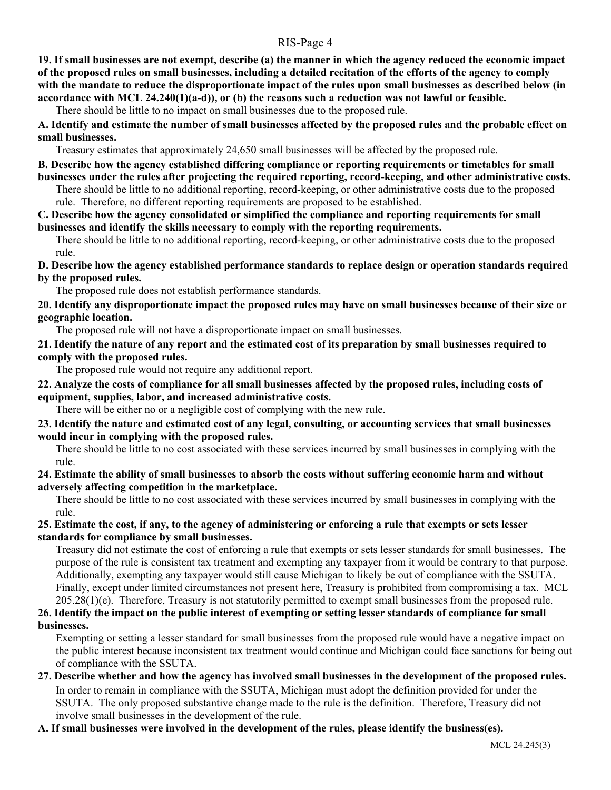**19. If small businesses are not exempt, describe (a) the manner in which the agency reduced the economic impact of the proposed rules on small businesses, including a detailed recitation of the efforts of the agency to comply with the mandate to reduce the disproportionate impact of the rules upon small businesses as described below (in accordance with MCL 24.240(1)(a-d)), or (b) the reasons such a reduction was not lawful or feasible.**

There should be little to no impact on small businesses due to the proposed rule.

**A. Identify and estimate the number of small businesses affected by the proposed rules and the probable effect on small businesses.**

Treasury estimates that approximately 24,650 small businesses will be affected by the proposed rule.

**B. Describe how the agency established differing compliance or reporting requirements or timetables for small businesses under the rules after projecting the required reporting, record-keeping, and other administrative costs.**

There should be little to no additional reporting, record-keeping, or other administrative costs due to the proposed rule. Therefore, no different reporting requirements are proposed to be established.

#### **C. Describe how the agency consolidated or simplified the compliance and reporting requirements for small businesses and identify the skills necessary to comply with the reporting requirements.**

There should be little to no additional reporting, record-keeping, or other administrative costs due to the proposed rule.

**D. Describe how the agency established performance standards to replace design or operation standards required by the proposed rules.**

The proposed rule does not establish performance standards.

**20. Identify any disproportionate impact the proposed rules may have on small businesses because of their size or geographic location.**

The proposed rule will not have a disproportionate impact on small businesses.

**21. Identify the nature of any report and the estimated cost of its preparation by small businesses required to comply with the proposed rules.**

The proposed rule would not require any additional report.

# **22. Analyze the costs of compliance for all small businesses affected by the proposed rules, including costs of equipment, supplies, labor, and increased administrative costs.**

There will be either no or a negligible cost of complying with the new rule.

**23. Identify the nature and estimated cost of any legal, consulting, or accounting services that small businesses would incur in complying with the proposed rules.**

There should be little to no cost associated with these services incurred by small businesses in complying with the rule.

**24. Estimate the ability of small businesses to absorb the costs without suffering economic harm and without adversely affecting competition in the marketplace.**

There should be little to no cost associated with these services incurred by small businesses in complying with the rule.

#### **25. Estimate the cost, if any, to the agency of administering or enforcing a rule that exempts or sets lesser standards for compliance by small businesses.**

Treasury did not estimate the cost of enforcing a rule that exempts or sets lesser standards for small businesses. The purpose of the rule is consistent tax treatment and exempting any taxpayer from it would be contrary to that purpose. Additionally, exempting any taxpayer would still cause Michigan to likely be out of compliance with the SSUTA. Finally, except under limited circumstances not present here, Treasury is prohibited from compromising a tax. MCL  $205.28(1)(e)$ . Therefore, Treasury is not statutorily permitted to exempt small businesses from the proposed rule.

# **26. Identify the impact on the public interest of exempting or setting lesser standards of compliance for small businesses.**

Exempting or setting a lesser standard for small businesses from the proposed rule would have a negative impact on the public interest because inconsistent tax treatment would continue and Michigan could face sanctions for being out of compliance with the SSUTA.

### **27. Describe whether and how the agency has involved small businesses in the development of the proposed rules.** In order to remain in compliance with the SSUTA, Michigan must adopt the definition provided for under the SSUTA. The only proposed substantive change made to the rule is the definition. Therefore, Treasury did not involve small businesses in the development of the rule.

## **A. If small businesses were involved in the development of the rules, please identify the business(es).**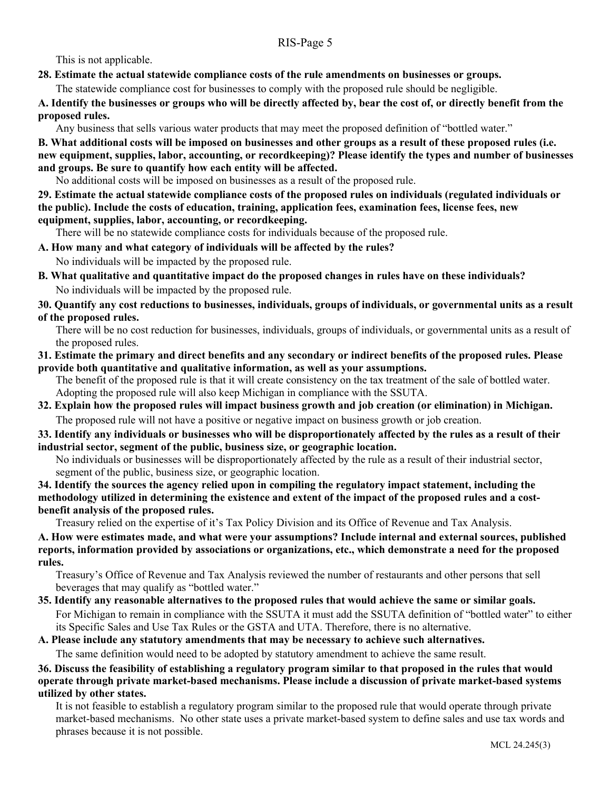This is not applicable.

# **28. Estimate the actual statewide compliance costs of the rule amendments on businesses or groups.**

The statewide compliance cost for businesses to comply with the proposed rule should be negligible.

**A. Identify the businesses or groups who will be directly affected by, bear the cost of, or directly benefit from the proposed rules.**

Any business that sells various water products that may meet the proposed definition of "bottled water."

**B. What additional costs will be imposed on businesses and other groups as a result of these proposed rules (i.e. new equipment, supplies, labor, accounting, or recordkeeping)? Please identify the types and number of businesses and groups. Be sure to quantify how each entity will be affected.**

No additional costs will be imposed on businesses as a result of the proposed rule.

**29. Estimate the actual statewide compliance costs of the proposed rules on individuals (regulated individuals or the public). Include the costs of education, training, application fees, examination fees, license fees, new equipment, supplies, labor, accounting, or recordkeeping.**

There will be no statewide compliance costs for individuals because of the proposed rule.

# **A. How many and what category of individuals will be affected by the rules?**

No individuals will be impacted by the proposed rule.

**B. What qualitative and quantitative impact do the proposed changes in rules have on these individuals?** No individuals will be impacted by the proposed rule.

# **30. Quantify any cost reductions to businesses, individuals, groups of individuals, or governmental units as a result of the proposed rules.**

There will be no cost reduction for businesses, individuals, groups of individuals, or governmental units as a result of the proposed rules.

#### **31. Estimate the primary and direct benefits and any secondary or indirect benefits of the proposed rules. Please provide both quantitative and qualitative information, as well as your assumptions.**

The benefit of the proposed rule is that it will create consistency on the tax treatment of the sale of bottled water. Adopting the proposed rule will also keep Michigan in compliance with the SSUTA.

**32. Explain how the proposed rules will impact business growth and job creation (or elimination) in Michigan.** The proposed rule will not have a positive or negative impact on business growth or job creation.

# **33. Identify any individuals or businesses who will be disproportionately affected by the rules as a result of their industrial sector, segment of the public, business size, or geographic location.**

No individuals or businesses will be disproportionately affected by the rule as a result of their industrial sector, segment of the public, business size, or geographic location.

#### **34. Identify the sources the agency relied upon in compiling the regulatory impact statement, including the methodology utilized in determining the existence and extent of the impact of the proposed rules and a costbenefit analysis of the proposed rules.**

Treasury relied on the expertise of it's Tax Policy Division and its Office of Revenue and Tax Analysis.

**A. How were estimates made, and what were your assumptions? Include internal and external sources, published reports, information provided by associations or organizations, etc., which demonstrate a need for the proposed rules.**

Treasury's Office of Revenue and Tax Analysis reviewed the number of restaurants and other persons that sell beverages that may qualify as "bottled water."

**35. Identify any reasonable alternatives to the proposed rules that would achieve the same or similar goals.** For Michigan to remain in compliance with the SSUTA it must add the SSUTA definition of "bottled water" to either its Specific Sales and Use Tax Rules or the GSTA and UTA. Therefore, there is no alternative.

**A. Please include any statutory amendments that may be necessary to achieve such alternatives.**  The same definition would need to be adopted by statutory amendment to achieve the same result.

# **36. Discuss the feasibility of establishing a regulatory program similar to that proposed in the rules that would operate through private market-based mechanisms. Please include a discussion of private market-based systems utilized by other states.**

It is not feasible to establish a regulatory program similar to the proposed rule that would operate through private market-based mechanisms. No other state uses a private market-based system to define sales and use tax words and phrases because it is not possible.